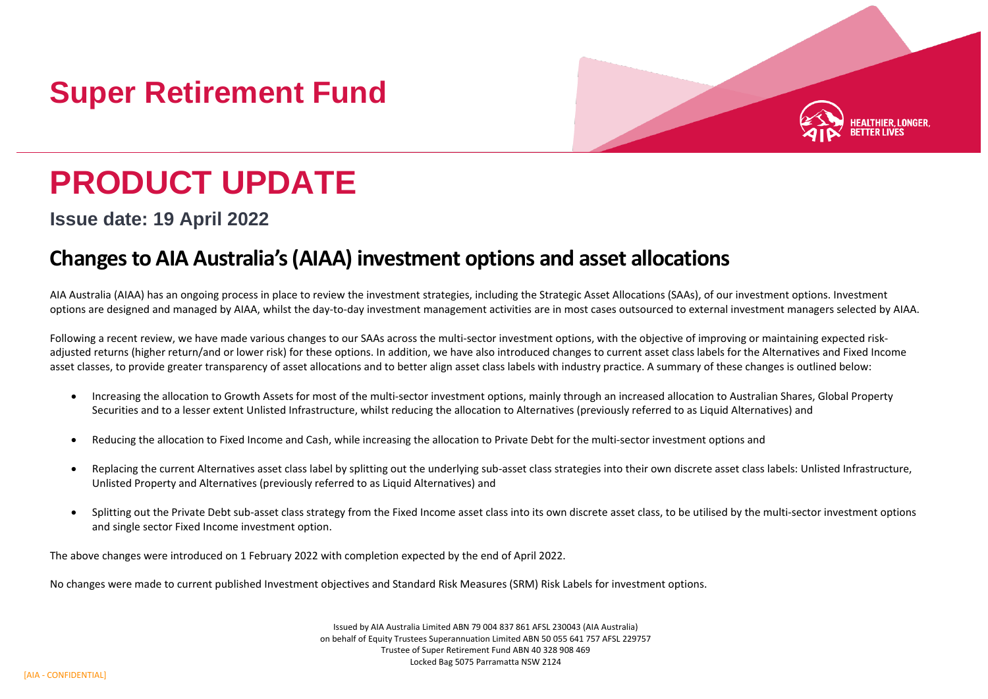# **Super Retirement Fund**



# **PRODUCT UPDATE**

**Issue date: 19 April 2022**

## **Changes to AIA Australia's (AIAA) investment options and asset allocations**

AIA Australia (AIAA) has an ongoing process in place to review the investment strategies, including the Strategic Asset Allocations (SAAs), of our investment options. Investment options are designed and managed by AIAA, whilst the day-to-day investment management activities are in most cases outsourced to external investment managers selected by AIAA.

Following a recent review, we have made various changes to our SAAs across the multi-sector investment options, with the objective of improving or maintaining expected riskadjusted returns (higher return/and or lower risk) for these options. In addition, we have also introduced changes to current asset class labels for the Alternatives and Fixed Income asset classes, to provide greater transparency of asset allocations and to better align asset class labels with industry practice. A summary of these changes is outlined below:

- Increasing the allocation to Growth Assets for most of the multi-sector investment options, mainly through an increased allocation to Australian Shares, Global Property Securities and to a lesser extent Unlisted Infrastructure, whilst reducing the allocation to Alternatives (previously referred to as Liquid Alternatives) and
- Reducing the allocation to Fixed Income and Cash, while increasing the allocation to Private Debt for the multi-sector investment options and
- Replacing the current Alternatives asset class label by splitting out the underlying sub-asset class strategies into their own discrete asset class labels: Unlisted Infrastructure, Unlisted Property and Alternatives (previously referred to as Liquid Alternatives) and
- Splitting out the Private Debt sub-asset class strategy from the Fixed Income asset class into its own discrete asset class, to be utilised by the multi-sector investment options and single sector Fixed Income investment option.

The above changes were introduced on 1 February 2022 with completion expected by the end of April 2022.

No changes were made to current published Investment objectives and Standard Risk Measures (SRM) Risk Labels for investment options.

Issued by AIA Australia Limited ABN 79 004 837 861 AFSL 230043 (AIA Australia) on behalf of Equity Trustees Superannuation Limited ABN 50 055 641 757 AFSL 229757 Trustee of Super Retirement Fund ABN 40 328 908 469 Locked Bag 5075 Parramatta NSW 2124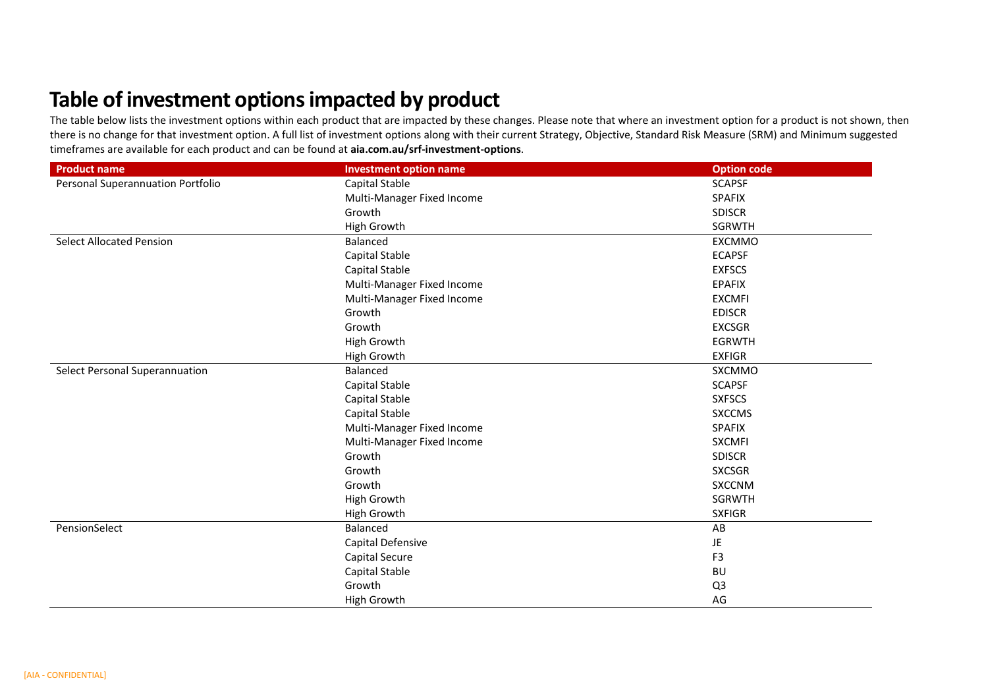## **Table of investment options impacted by product**

The table below lists the investment options within each product that are impacted by these changes. Please note that where an investment option for a product is not shown, then there is no change for that investment option. A full list of investment options along with their current Strategy, Objective, Standard Risk Measure (SRM) and Minimum suggested timeframes are available for each product and can be found at **aia.com.au/srf-investment-options**.

| <b>Product name</b>               | <b>Investment option name</b> | <b>Option code</b> |
|-----------------------------------|-------------------------------|--------------------|
| Personal Superannuation Portfolio | Capital Stable                | <b>SCAPSF</b>      |
|                                   | Multi-Manager Fixed Income    | <b>SPAFIX</b>      |
|                                   | Growth                        | <b>SDISCR</b>      |
|                                   | High Growth                   | <b>SGRWTH</b>      |
| <b>Select Allocated Pension</b>   | Balanced                      | <b>EXCMMO</b>      |
|                                   | Capital Stable                | <b>ECAPSF</b>      |
|                                   | Capital Stable                | <b>EXFSCS</b>      |
|                                   | Multi-Manager Fixed Income    | <b>EPAFIX</b>      |
|                                   | Multi-Manager Fixed Income    | <b>EXCMFI</b>      |
|                                   | Growth                        | <b>EDISCR</b>      |
|                                   | Growth                        | <b>EXCSGR</b>      |
|                                   | High Growth                   | <b>EGRWTH</b>      |
|                                   | High Growth                   | <b>EXFIGR</b>      |
| Select Personal Superannuation    | Balanced                      | SXCMMO             |
|                                   | Capital Stable                | <b>SCAPSF</b>      |
|                                   | Capital Stable                | <b>SXFSCS</b>      |
|                                   | Capital Stable                | <b>SXCCMS</b>      |
|                                   | Multi-Manager Fixed Income    | <b>SPAFIX</b>      |
|                                   | Multi-Manager Fixed Income    | <b>SXCMFI</b>      |
|                                   | Growth                        | <b>SDISCR</b>      |
|                                   | Growth                        | <b>SXCSGR</b>      |
|                                   | Growth                        | <b>SXCCNM</b>      |
|                                   | High Growth                   | SGRWTH             |
|                                   | High Growth                   | <b>SXFIGR</b>      |
| PensionSelect                     | Balanced                      | AB                 |
|                                   | Capital Defensive             | JE                 |
|                                   | <b>Capital Secure</b>         | F <sub>3</sub>     |
|                                   | Capital Stable                | <b>BU</b>          |
|                                   | Growth                        | Q <sub>3</sub>     |
|                                   | High Growth                   | AG                 |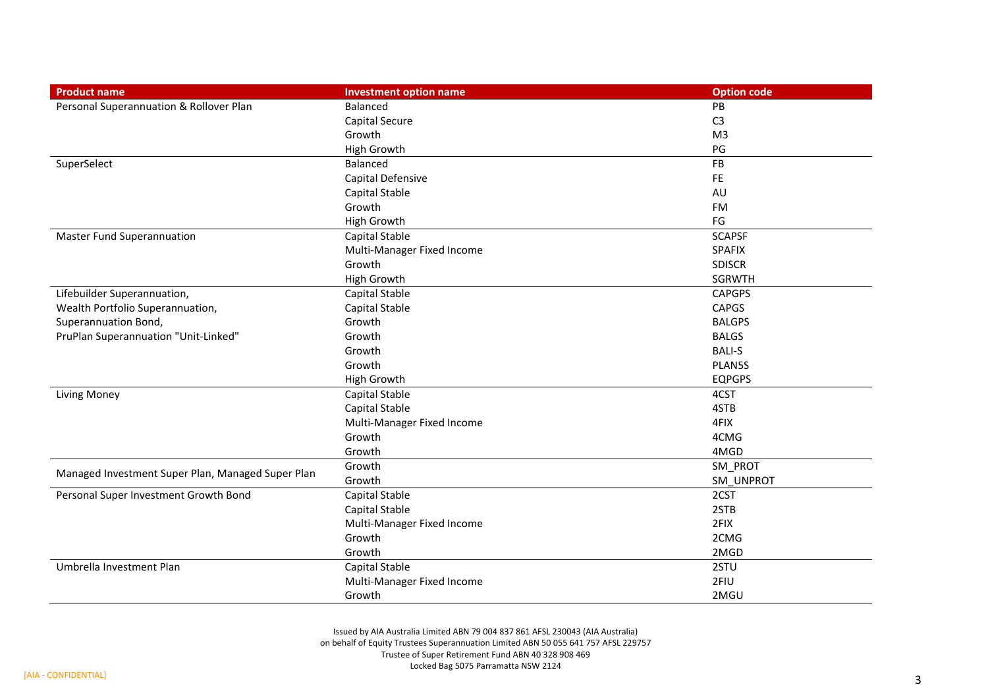| <b>Product name</b>                               | <b>Investment option name</b> | <b>Option code</b> |
|---------------------------------------------------|-------------------------------|--------------------|
| Personal Superannuation & Rollover Plan           | Balanced                      | PB                 |
|                                                   | Capital Secure                | C <sub>3</sub>     |
|                                                   | Growth                        | M <sub>3</sub>     |
|                                                   | High Growth                   | PG                 |
| SuperSelect                                       | Balanced                      | FB                 |
|                                                   | Capital Defensive             | <b>FE</b>          |
|                                                   | Capital Stable                | AU                 |
|                                                   | Growth                        | FM                 |
|                                                   | High Growth                   | FG                 |
| <b>Master Fund Superannuation</b>                 | Capital Stable                | <b>SCAPSF</b>      |
|                                                   | Multi-Manager Fixed Income    | <b>SPAFIX</b>      |
|                                                   | Growth                        | <b>SDISCR</b>      |
|                                                   | High Growth                   | <b>SGRWTH</b>      |
| Lifebuilder Superannuation,                       | Capital Stable                | <b>CAPGPS</b>      |
| Wealth Portfolio Superannuation,                  | Capital Stable                | <b>CAPGS</b>       |
| Superannuation Bond,                              | Growth                        | <b>BALGPS</b>      |
| PruPlan Superannuation "Unit-Linked"              | Growth                        | <b>BALGS</b>       |
|                                                   | Growth                        | <b>BALI-S</b>      |
|                                                   | Growth                        | PLAN5S             |
|                                                   | High Growth                   | <b>EQPGPS</b>      |
| <b>Living Money</b>                               | Capital Stable                | 4CST               |
|                                                   | Capital Stable                | 4STB               |
|                                                   | Multi-Manager Fixed Income    | 4FIX               |
|                                                   | Growth                        | 4CMG               |
|                                                   | Growth                        | 4MGD               |
|                                                   | Growth                        | SM_PROT            |
| Managed Investment Super Plan, Managed Super Plan | Growth                        | SM_UNPROT          |
| Personal Super Investment Growth Bond             | Capital Stable                | 2CST               |
|                                                   | Capital Stable                | 2STB               |
|                                                   | Multi-Manager Fixed Income    | 2FIX               |
|                                                   | Growth                        | 2CMG               |
|                                                   | Growth                        | 2MGD               |
| Umbrella Investment Plan                          | Capital Stable                | 2STU               |
|                                                   | Multi-Manager Fixed Income    | 2FIU               |
|                                                   | Growth                        | 2MGU               |

Issued by AIA Australia Limited ABN 79 004 837 861 AFSL 230043 (AIA Australia) on behalf of Equity Trustees Superannuation Limited ABN 50 055 641 757 AFSL 229757 Trustee of Super Retirement Fund ABN 40 328 908 469 Locked Bag 5075 Parramatta NSW 2124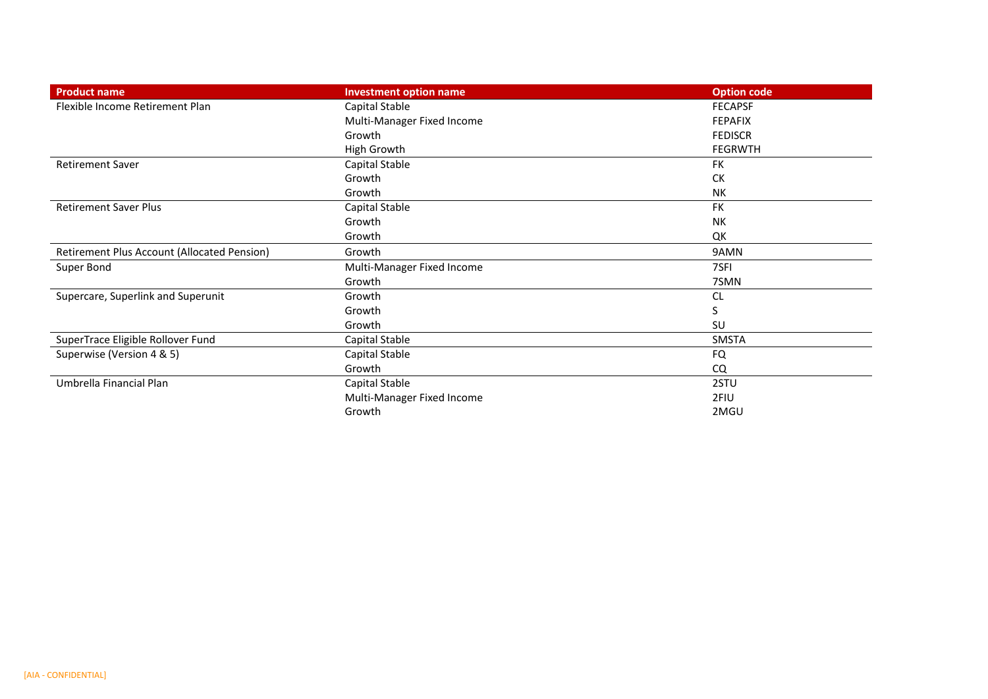| <b>Product name</b>                         | <b>Investment option name</b> | <b>Option code</b> |
|---------------------------------------------|-------------------------------|--------------------|
| Flexible Income Retirement Plan             | Capital Stable                | <b>FECAPSF</b>     |
|                                             | Multi-Manager Fixed Income    | <b>FEPAFIX</b>     |
|                                             | Growth                        | <b>FEDISCR</b>     |
|                                             | High Growth                   | <b>FEGRWTH</b>     |
| <b>Retirement Saver</b>                     | Capital Stable                | <b>FK</b>          |
|                                             | Growth                        | СK                 |
|                                             | Growth                        | NΚ                 |
| <b>Retirement Saver Plus</b>                | Capital Stable                | <b>FK</b>          |
|                                             | Growth                        | NΚ                 |
|                                             | Growth                        | QK                 |
| Retirement Plus Account (Allocated Pension) | Growth                        | 9AMN               |
| Super Bond                                  | Multi-Manager Fixed Income    | 7SFI               |
|                                             | Growth                        | 7SMN               |
| Supercare, Superlink and Superunit          | Growth                        | <b>CL</b>          |
|                                             | Growth                        | S                  |
|                                             | Growth                        | SU                 |
| SuperTrace Eligible Rollover Fund           | Capital Stable                | SMSTA              |
| Superwise (Version 4 & 5)                   | Capital Stable                | <b>FQ</b>          |
|                                             | Growth                        | CQ                 |
| Umbrella Financial Plan                     | Capital Stable                | 2STU               |
|                                             | Multi-Manager Fixed Income    | 2FIU               |
|                                             | Growth                        | 2MGU               |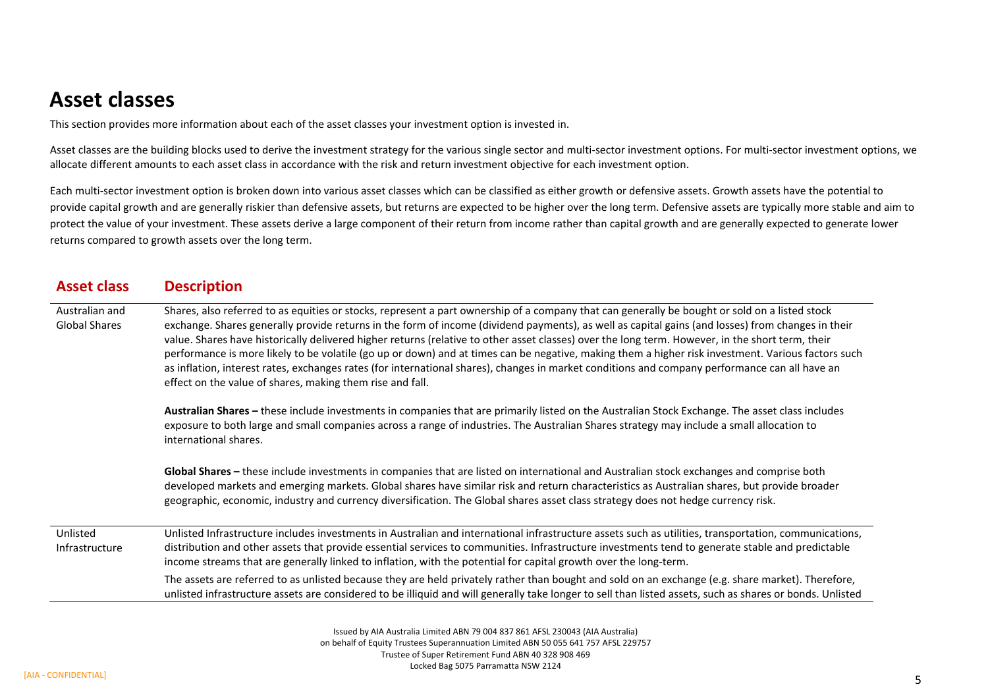### **Asset classes**

This section provides more information about each of the asset classes your investment option is invested in.

Asset classes are the building blocks used to derive the investment strategy for the various single sector and multi-sector investment options. For multi-sector investment options, we allocate different amounts to each asset class in accordance with the risk and return investment objective for each investment option.

Each multi-sector investment option is broken down into various asset classes which can be classified as either growth or defensive assets. Growth assets have the potential to provide capital growth and are generally riskier than defensive assets, but returns are expected to be higher over the long term. Defensive assets are typically more stable and aim to protect the value of your investment. These assets derive a large component of their return from income rather than capital growth and are generally expected to generate lower returns compared to growth assets over the long term.

| <b>Asset class</b>                     | <b>Description</b>                                                                                                                                                                                                                                                                                                                                                                                                                                                                                                                                                                                                                                                                                                                                                                                                           |
|----------------------------------------|------------------------------------------------------------------------------------------------------------------------------------------------------------------------------------------------------------------------------------------------------------------------------------------------------------------------------------------------------------------------------------------------------------------------------------------------------------------------------------------------------------------------------------------------------------------------------------------------------------------------------------------------------------------------------------------------------------------------------------------------------------------------------------------------------------------------------|
| Australian and<br><b>Global Shares</b> | Shares, also referred to as equities or stocks, represent a part ownership of a company that can generally be bought or sold on a listed stock<br>exchange. Shares generally provide returns in the form of income (dividend payments), as well as capital gains (and losses) from changes in their<br>value. Shares have historically delivered higher returns (relative to other asset classes) over the long term. However, in the short term, their<br>performance is more likely to be volatile (go up or down) and at times can be negative, making them a higher risk investment. Various factors such<br>as inflation, interest rates, exchanges rates (for international shares), changes in market conditions and company performance can all have an<br>effect on the value of shares, making them rise and fall. |
|                                        | Australian Shares - these include investments in companies that are primarily listed on the Australian Stock Exchange. The asset class includes<br>exposure to both large and small companies across a range of industries. The Australian Shares strategy may include a small allocation to<br>international shares.                                                                                                                                                                                                                                                                                                                                                                                                                                                                                                        |
|                                        | Global Shares - these include investments in companies that are listed on international and Australian stock exchanges and comprise both<br>developed markets and emerging markets. Global shares have similar risk and return characteristics as Australian shares, but provide broader<br>geographic, economic, industry and currency diversification. The Global shares asset class strategy does not hedge currency risk.                                                                                                                                                                                                                                                                                                                                                                                                |
| Unlisted<br>Infrastructure             | Unlisted Infrastructure includes investments in Australian and international infrastructure assets such as utilities, transportation, communications,<br>distribution and other assets that provide essential services to communities. Infrastructure investments tend to generate stable and predictable<br>income streams that are generally linked to inflation, with the potential for capital growth over the long-term.                                                                                                                                                                                                                                                                                                                                                                                                |
|                                        | The assets are referred to as unlisted because they are held privately rather than bought and sold on an exchange (e.g. share market). Therefore,<br>unlisted infrastructure assets are considered to be illiquid and will generally take longer to sell than listed assets, such as shares or bonds. Unlisted                                                                                                                                                                                                                                                                                                                                                                                                                                                                                                               |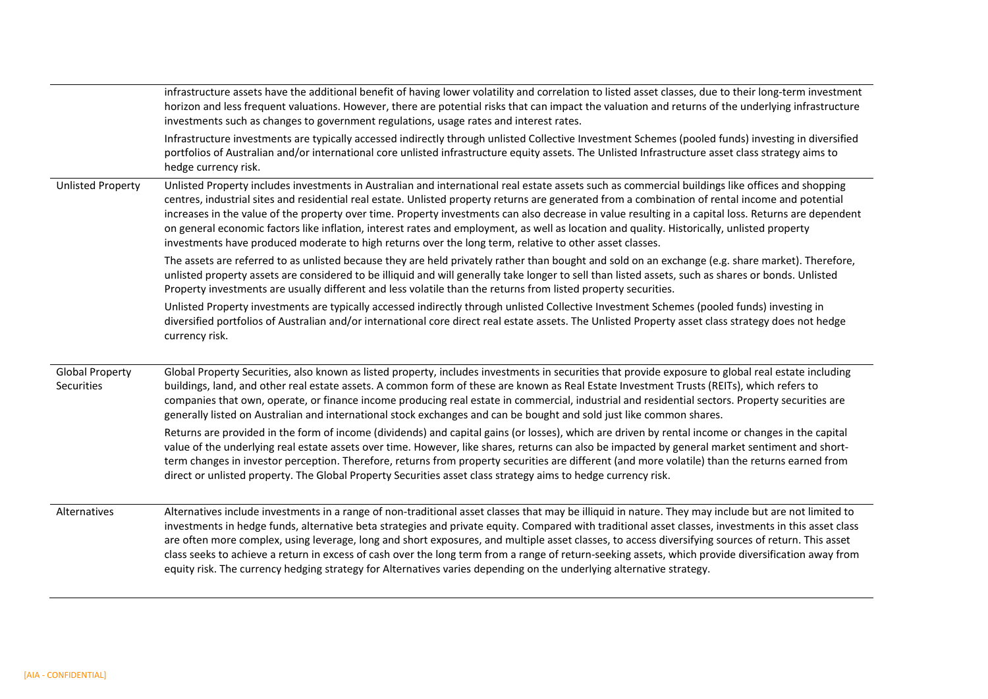|                                      | infrastructure assets have the additional benefit of having lower volatility and correlation to listed asset classes, due to their long-term investment<br>horizon and less frequent valuations. However, there are potential risks that can impact the valuation and returns of the underlying infrastructure<br>investments such as changes to government regulations, usage rates and interest rates.                                                                                                                                                                                                                                                                                                                                          |
|--------------------------------------|---------------------------------------------------------------------------------------------------------------------------------------------------------------------------------------------------------------------------------------------------------------------------------------------------------------------------------------------------------------------------------------------------------------------------------------------------------------------------------------------------------------------------------------------------------------------------------------------------------------------------------------------------------------------------------------------------------------------------------------------------|
|                                      | Infrastructure investments are typically accessed indirectly through unlisted Collective Investment Schemes (pooled funds) investing in diversified<br>portfolios of Australian and/or international core unlisted infrastructure equity assets. The Unlisted Infrastructure asset class strategy aims to<br>hedge currency risk.                                                                                                                                                                                                                                                                                                                                                                                                                 |
| <b>Unlisted Property</b>             | Unlisted Property includes investments in Australian and international real estate assets such as commercial buildings like offices and shopping<br>centres, industrial sites and residential real estate. Unlisted property returns are generated from a combination of rental income and potential<br>increases in the value of the property over time. Property investments can also decrease in value resulting in a capital loss. Returns are dependent<br>on general economic factors like inflation, interest rates and employment, as well as location and quality. Historically, unlisted property<br>investments have produced moderate to high returns over the long term, relative to other asset classes.                            |
|                                      | The assets are referred to as unlisted because they are held privately rather than bought and sold on an exchange (e.g. share market). Therefore,<br>unlisted property assets are considered to be illiquid and will generally take longer to sell than listed assets, such as shares or bonds. Unlisted<br>Property investments are usually different and less volatile than the returns from listed property securities.                                                                                                                                                                                                                                                                                                                        |
|                                      | Unlisted Property investments are typically accessed indirectly through unlisted Collective Investment Schemes (pooled funds) investing in<br>diversified portfolios of Australian and/or international core direct real estate assets. The Unlisted Property asset class strategy does not hedge<br>currency risk.                                                                                                                                                                                                                                                                                                                                                                                                                               |
| <b>Global Property</b><br>Securities | Global Property Securities, also known as listed property, includes investments in securities that provide exposure to global real estate including<br>buildings, land, and other real estate assets. A common form of these are known as Real Estate Investment Trusts (REITs), which refers to<br>companies that own, operate, or finance income producing real estate in commercial, industrial and residential sectors. Property securities are<br>generally listed on Australian and international stock exchanges and can be bought and sold just like common shares.                                                                                                                                                                       |
|                                      | Returns are provided in the form of income (dividends) and capital gains (or losses), which are driven by rental income or changes in the capital<br>value of the underlying real estate assets over time. However, like shares, returns can also be impacted by general market sentiment and short-<br>term changes in investor perception. Therefore, returns from property securities are different (and more volatile) than the returns earned from<br>direct or unlisted property. The Global Property Securities asset class strategy aims to hedge currency risk.                                                                                                                                                                          |
| Alternatives                         | Alternatives include investments in a range of non-traditional asset classes that may be illiquid in nature. They may include but are not limited to<br>investments in hedge funds, alternative beta strategies and private equity. Compared with traditional asset classes, investments in this asset class<br>are often more complex, using leverage, long and short exposures, and multiple asset classes, to access diversifying sources of return. This asset<br>class seeks to achieve a return in excess of cash over the long term from a range of return-seeking assets, which provide diversification away from<br>equity risk. The currency hedging strategy for Alternatives varies depending on the underlying alternative strategy. |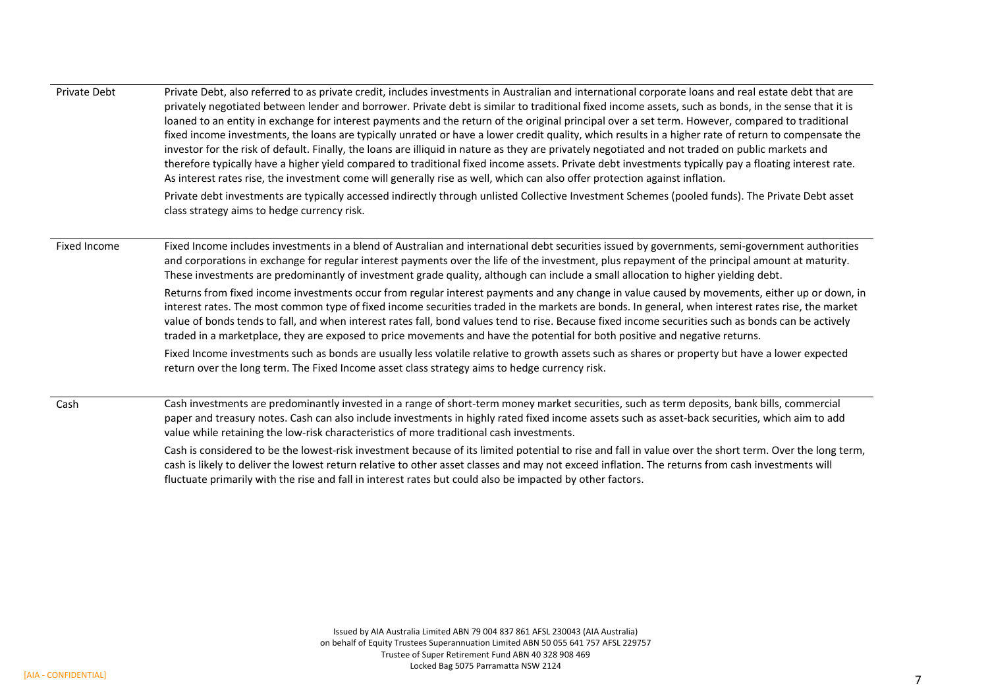| Private Debt | Private Debt, also referred to as private credit, includes investments in Australian and international corporate loans and real estate debt that are<br>privately negotiated between lender and borrower. Private debt is similar to traditional fixed income assets, such as bonds, in the sense that it is<br>loaned to an entity in exchange for interest payments and the return of the original principal over a set term. However, compared to traditional<br>fixed income investments, the loans are typically unrated or have a lower credit quality, which results in a higher rate of return to compensate the<br>investor for the risk of default. Finally, the loans are illiquid in nature as they are privately negotiated and not traded on public markets and<br>therefore typically have a higher yield compared to traditional fixed income assets. Private debt investments typically pay a floating interest rate.<br>As interest rates rise, the investment come will generally rise as well, which can also offer protection against inflation. |
|--------------|-----------------------------------------------------------------------------------------------------------------------------------------------------------------------------------------------------------------------------------------------------------------------------------------------------------------------------------------------------------------------------------------------------------------------------------------------------------------------------------------------------------------------------------------------------------------------------------------------------------------------------------------------------------------------------------------------------------------------------------------------------------------------------------------------------------------------------------------------------------------------------------------------------------------------------------------------------------------------------------------------------------------------------------------------------------------------|
|              | Private debt investments are typically accessed indirectly through unlisted Collective Investment Schemes (pooled funds). The Private Debt asset<br>class strategy aims to hedge currency risk.                                                                                                                                                                                                                                                                                                                                                                                                                                                                                                                                                                                                                                                                                                                                                                                                                                                                       |
| Fixed Income | Fixed Income includes investments in a blend of Australian and international debt securities issued by governments, semi-government authorities<br>and corporations in exchange for regular interest payments over the life of the investment, plus repayment of the principal amount at maturity.<br>These investments are predominantly of investment grade quality, although can include a small allocation to higher yielding debt.                                                                                                                                                                                                                                                                                                                                                                                                                                                                                                                                                                                                                               |
|              | Returns from fixed income investments occur from regular interest payments and any change in value caused by movements, either up or down, in<br>interest rates. The most common type of fixed income securities traded in the markets are bonds. In general, when interest rates rise, the market<br>value of bonds tends to fall, and when interest rates fall, bond values tend to rise. Because fixed income securities such as bonds can be actively<br>traded in a marketplace, they are exposed to price movements and have the potential for both positive and negative returns.                                                                                                                                                                                                                                                                                                                                                                                                                                                                              |
|              | Fixed Income investments such as bonds are usually less volatile relative to growth assets such as shares or property but have a lower expected<br>return over the long term. The Fixed Income asset class strategy aims to hedge currency risk.                                                                                                                                                                                                                                                                                                                                                                                                                                                                                                                                                                                                                                                                                                                                                                                                                      |
| Cash         | Cash investments are predominantly invested in a range of short-term money market securities, such as term deposits, bank bills, commercial<br>paper and treasury notes. Cash can also include investments in highly rated fixed income assets such as asset-back securities, which aim to add<br>value while retaining the low-risk characteristics of more traditional cash investments.                                                                                                                                                                                                                                                                                                                                                                                                                                                                                                                                                                                                                                                                            |
|              | Cash is considered to be the lowest-risk investment because of its limited potential to rise and fall in value over the short term. Over the long term,<br>cash is likely to deliver the lowest return relative to other asset classes and may not exceed inflation. The returns from cash investments will                                                                                                                                                                                                                                                                                                                                                                                                                                                                                                                                                                                                                                                                                                                                                           |

fluctuate primarily with the rise and fall in interest rates but could also be impacted by other factors.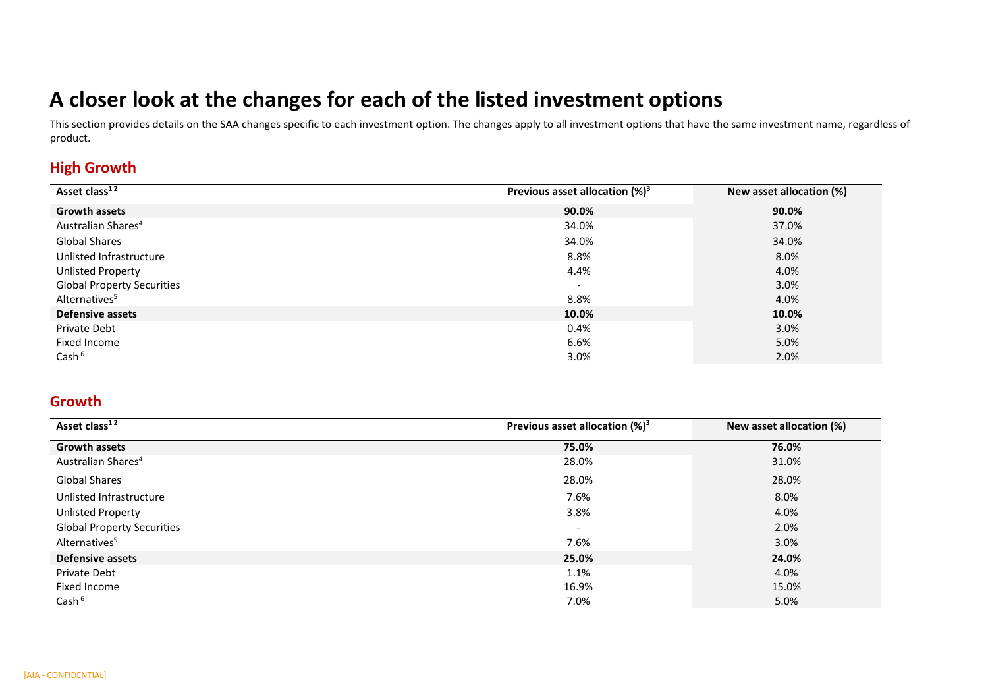# **A closer look at the changes for each of the listed investment options**

This section provides details on the SAA changes specific to each investment option. The changes apply to all investment options that have the same investment name, regardless of product.

#### **High Growth**

| Asset class <sup>12</sup>         | Previous asset allocation $(%)^3$ | New asset allocation (%) |
|-----------------------------------|-----------------------------------|--------------------------|
| <b>Growth assets</b>              | 90.0%                             | 90.0%                    |
| Australian Shares <sup>4</sup>    | 34.0%                             | 37.0%                    |
| <b>Global Shares</b>              | 34.0%                             | 34.0%                    |
| Unlisted Infrastructure           | 8.8%                              | 8.0%                     |
| <b>Unlisted Property</b>          | 4.4%                              | 4.0%                     |
| <b>Global Property Securities</b> | $\overline{\phantom{a}}$          | 3.0%                     |
| Alternatives <sup>5</sup>         | 8.8%                              | 4.0%                     |
| <b>Defensive assets</b>           | 10.0%                             | 10.0%                    |
| Private Debt                      | 0.4%                              | 3.0%                     |
| Fixed Income                      | 6.6%                              | 5.0%                     |
| Cash <sup>6</sup>                 | 3.0%                              | 2.0%                     |

#### **Growth**

| Asset class <sup>12</sup>         | Previous asset allocation $(\%)^3$ | New asset allocation (%) |
|-----------------------------------|------------------------------------|--------------------------|
| <b>Growth assets</b>              | 75.0%                              | 76.0%                    |
| Australian Shares <sup>4</sup>    | 28.0%                              | 31.0%                    |
| <b>Global Shares</b>              | 28.0%                              | 28.0%                    |
| Unlisted Infrastructure           | 7.6%                               | 8.0%                     |
| <b>Unlisted Property</b>          | 3.8%                               | 4.0%                     |
| <b>Global Property Securities</b> | $\overline{\phantom{a}}$           | 2.0%                     |
| Alternatives <sup>5</sup>         | 7.6%                               | 3.0%                     |
| <b>Defensive assets</b>           | 25.0%                              | 24.0%                    |
| Private Debt                      | 1.1%                               | 4.0%                     |
| Fixed Income                      | 16.9%                              | 15.0%                    |
| Cash <sup>6</sup>                 | 7.0%                               | 5.0%                     |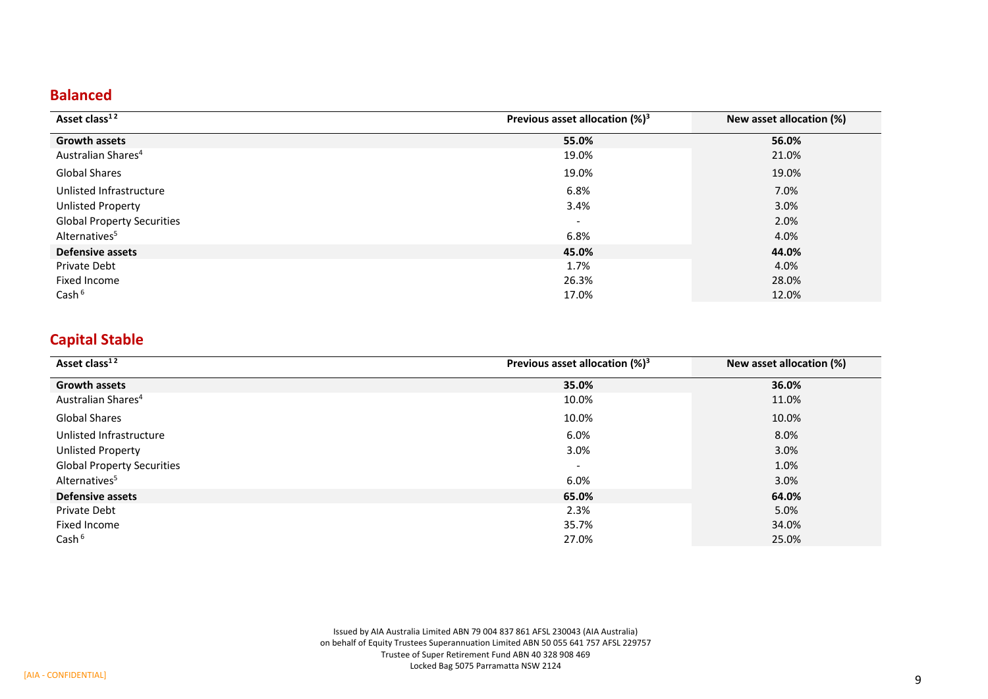#### **Balanced**

| Asset class <sup>12</sup>         | Previous asset allocation $(%)^3$ | New asset allocation (%) |
|-----------------------------------|-----------------------------------|--------------------------|
| <b>Growth assets</b>              | 55.0%                             | 56.0%                    |
| Australian Shares <sup>4</sup>    | 19.0%                             | 21.0%                    |
| <b>Global Shares</b>              | 19.0%                             | 19.0%                    |
| Unlisted Infrastructure           | 6.8%                              | 7.0%                     |
| <b>Unlisted Property</b>          | 3.4%                              | 3.0%                     |
| <b>Global Property Securities</b> | $\overline{\phantom{a}}$          | 2.0%                     |
| Alternatives <sup>5</sup>         | 6.8%                              | 4.0%                     |
| <b>Defensive assets</b>           | 45.0%                             | 44.0%                    |
| Private Debt                      | 1.7%                              | 4.0%                     |
| Fixed Income                      | 26.3%                             | 28.0%                    |
| Cash <sup>6</sup>                 | 17.0%                             | 12.0%                    |

### **Capital Stable**

| Asset class <sup>12</sup>         | Previous asset allocation $(%)^3$ | New asset allocation (%) |
|-----------------------------------|-----------------------------------|--------------------------|
| <b>Growth assets</b>              | 35.0%                             | 36.0%                    |
| Australian Shares <sup>4</sup>    | 10.0%                             | 11.0%                    |
| <b>Global Shares</b>              | 10.0%                             | 10.0%                    |
| Unlisted Infrastructure           | 6.0%                              | 8.0%                     |
| <b>Unlisted Property</b>          | 3.0%                              | 3.0%                     |
| <b>Global Property Securities</b> | $\overline{\phantom{0}}$          | 1.0%                     |
| Alternatives <sup>5</sup>         | 6.0%                              | 3.0%                     |
| <b>Defensive assets</b>           | 65.0%                             | 64.0%                    |
| Private Debt                      | 2.3%                              | 5.0%                     |
| Fixed Income                      | 35.7%                             | 34.0%                    |
| Cash $6$                          | 27.0%                             | 25.0%                    |

Issued by AIA Australia Limited ABN 79 004 837 861 AFSL 230043 (AIA Australia) on behalf of Equity Trustees Superannuation Limited ABN 50 055 641 757 AFSL 229757 Trustee of Super Retirement Fund ABN 40 328 908 469 Locked Bag 5075 Parramatta NSW 2124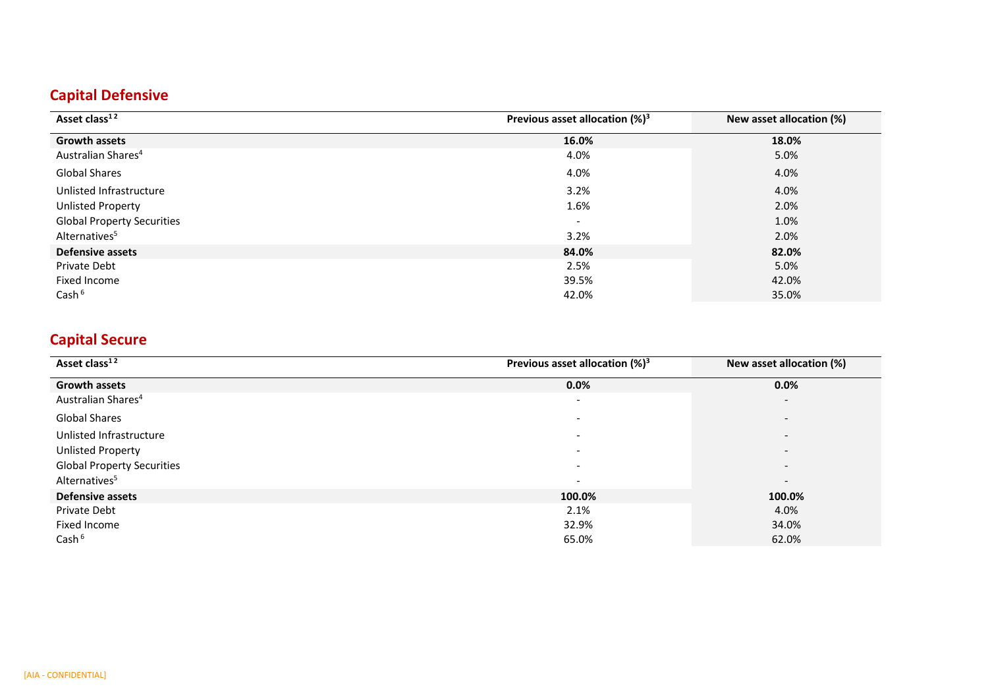### **Capital Defensive**

| Asset class <sup>12</sup>         | Previous asset allocation $(\%)^3$ | New asset allocation (%) |
|-----------------------------------|------------------------------------|--------------------------|
| <b>Growth assets</b>              | 16.0%                              | 18.0%                    |
| Australian Shares <sup>4</sup>    | 4.0%                               | 5.0%                     |
| <b>Global Shares</b>              | 4.0%                               | 4.0%                     |
| Unlisted Infrastructure           | 3.2%                               | 4.0%                     |
| <b>Unlisted Property</b>          | 1.6%                               | 2.0%                     |
| <b>Global Property Securities</b> | $\overline{\phantom{a}}$           | 1.0%                     |
| Alternatives <sup>5</sup>         | 3.2%                               | 2.0%                     |
| <b>Defensive assets</b>           | 84.0%                              | 82.0%                    |
| Private Debt                      | 2.5%                               | 5.0%                     |
| Fixed Income                      | 39.5%                              | 42.0%                    |
| Cash <sup>6</sup>                 | 42.0%                              | 35.0%                    |

### **Capital Secure**

| Asset class <sup>12</sup>         | Previous asset allocation $(\%)^3$ | New asset allocation (%) |
|-----------------------------------|------------------------------------|--------------------------|
| <b>Growth assets</b>              | $0.0\%$                            | 0.0%                     |
| Australian Shares <sup>4</sup>    | $\overline{\phantom{0}}$           | $\overline{\phantom{0}}$ |
| <b>Global Shares</b>              | $\overline{\phantom{0}}$           | $\overline{\phantom{a}}$ |
| Unlisted Infrastructure           | $\sim$                             | $\overline{\phantom{a}}$ |
| <b>Unlisted Property</b>          | $\overline{\phantom{0}}$           |                          |
| <b>Global Property Securities</b> | $\overline{\phantom{0}}$           | $\overline{\phantom{a}}$ |
| Alternatives <sup>5</sup>         | $\overline{\phantom{a}}$           | $\overline{\phantom{a}}$ |
| <b>Defensive assets</b>           | 100.0%                             | 100.0%                   |
| Private Debt                      | 2.1%                               | 4.0%                     |
| Fixed Income                      | 32.9%                              | 34.0%                    |
| Cash <sup>6</sup>                 | 65.0%                              | 62.0%                    |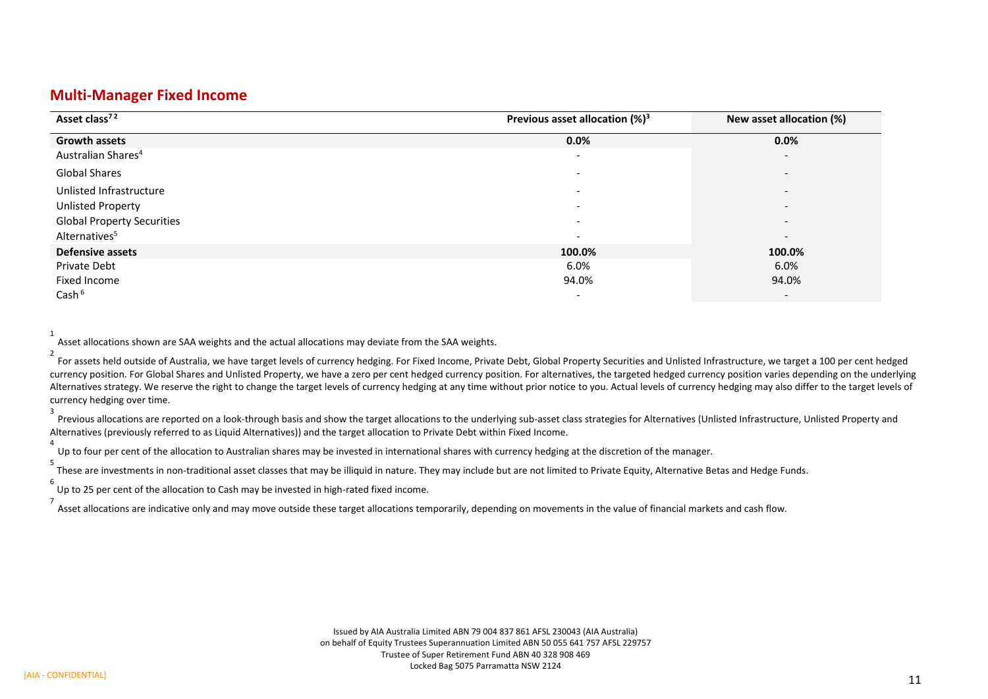#### **Multi-Manager Fixed Income**

| Asset class <sup>72</sup>         | Previous asset allocation $(\%)^3$ | New asset allocation (%) |
|-----------------------------------|------------------------------------|--------------------------|
| <b>Growth assets</b>              | 0.0%                               | 0.0%                     |
| Australian Shares <sup>4</sup>    | $\overline{\phantom{0}}$           | $\overline{\phantom{a}}$ |
| <b>Global Shares</b>              | $\qquad \qquad \blacksquare$       |                          |
| Unlisted Infrastructure           | $\qquad \qquad \blacksquare$       | $\overline{\phantom{a}}$ |
| Unlisted Property                 | $\overline{\phantom{0}}$           | $\overline{\phantom{a}}$ |
| <b>Global Property Securities</b> | $\overline{\phantom{0}}$           | $\overline{\phantom{a}}$ |
| Alternatives <sup>5</sup>         | $\overline{\phantom{0}}$           | $\overline{\phantom{a}}$ |
| <b>Defensive assets</b>           | 100.0%                             | 100.0%                   |
| Private Debt                      | 6.0%                               | 6.0%                     |
| Fixed Income                      | 94.0%                              | 94.0%                    |
| Cash <sup>6</sup>                 | $\overline{\phantom{a}}$           | $\overline{\phantom{a}}$ |

Asset allocations shown are SAA weights and the actual allocations may deviate from the SAA weights.

2 For assets held outside of Australia, we have target levels of currency hedging. For Fixed Income, Private Debt, Global Property Securities and Unlisted Infrastructure, we target a 100 per cent hedged currency position. For Global Shares and Unlisted Property, we have a zero per cent hedged currency position. For alternatives, the targeted hedged currency position varies depending on the underlying Alternatives strategy. We reserve the right to change the target levels of currency hedging at any time without prior notice to you. Actual levels of currency hedging may also differ to the target levels of currency hedging over time. 3

Previous allocations are reported on a look-through basis and show the target allocations to the underlying sub-asset class strategies for Alternatives (Unlisted Infrastructure, Unlisted Property and Alternatives (previously referred to as Liquid Alternatives)) and the target allocation to Private Debt within Fixed Income.

Up to four per cent of the allocation to Australian shares may be invested in international shares with currency hedging at the discretion of the manager.

5 These are investments in non-traditional asset classes that may be illiquid in nature. They may include but are not limited to Private Equity, Alternative Betas and Hedge Funds.

6 Up to 25 per cent of the allocation to Cash may be invested in high-rated fixed income.

7 Asset allocations are indicative only and may move outside these target allocations temporarily, depending on movements in the value of financial markets and cash flow.

1

4